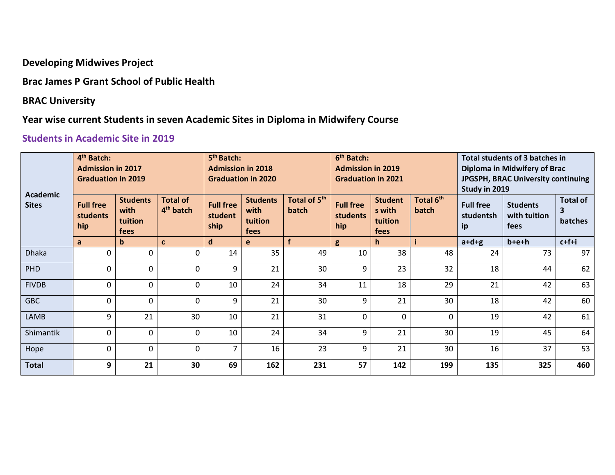**Developing Midwives Project**

### **Brac James P Grant School of Public Health**

### **BRAC University**

# **Year wise current Students in seven Academic Sites in Diploma in Midwifery Course**

## **Students in Academic Site in 2019**

| <b>Academic</b><br><b>Sites</b> | 4 <sup>th</sup> Batch:<br><b>Admission in 2017</b><br><b>Graduation in 2019</b> |                                            |                                          | 5 <sup>th</sup> Batch:<br><b>Admission in 2018</b><br><b>Graduation in 2020</b> |                                            |                                   | 6 <sup>th</sup> Batch:<br><b>Admission in 2019</b><br><b>Graduation in 2021</b> |                                             |                                | Total students of 3 batches in<br>Diploma in Midwifery of Brac<br>JPGSPH, BRAC University continuing<br>Study in 2019 |                                         |                                 |
|---------------------------------|---------------------------------------------------------------------------------|--------------------------------------------|------------------------------------------|---------------------------------------------------------------------------------|--------------------------------------------|-----------------------------------|---------------------------------------------------------------------------------|---------------------------------------------|--------------------------------|-----------------------------------------------------------------------------------------------------------------------|-----------------------------------------|---------------------------------|
|                                 | <b>Full free</b><br>students<br>hip                                             | <b>Students</b><br>with<br>tuition<br>fees | <b>Total of</b><br>4 <sup>th</sup> batch | <b>Full free</b><br>student<br>ship                                             | <b>Students</b><br>with<br>tuition<br>fees | Total of 5 <sup>th</sup><br>batch | <b>Full free</b><br>students<br>hip                                             | <b>Student</b><br>s with<br>tuition<br>fees | Total 6 <sup>th</sup><br>batch | <b>Full free</b><br>studentsh<br>ip                                                                                   | <b>Students</b><br>with tuition<br>fees | <b>Total of</b><br>3<br>batches |
|                                 | a                                                                               | $\mathbf b$                                | $\mathbf{C}$                             | $\mathbf d$                                                                     | e                                          |                                   | g                                                                               | h.                                          |                                | $a+d+g$                                                                                                               | b+e+h                                   | $c + f + i$                     |
| <b>Dhaka</b>                    | 0                                                                               | $\Omega$                                   | 0                                        | 14                                                                              | 35                                         | 49                                | 10                                                                              | 38                                          | 48                             | 24                                                                                                                    | 73                                      | 97                              |
| <b>PHD</b>                      | 0                                                                               | $\Omega$                                   | 0                                        | 9                                                                               | 21                                         | 30                                | 9                                                                               | 23                                          | 32                             | 18                                                                                                                    | 44                                      | 62                              |
| <b>FIVDB</b>                    | $\Omega$                                                                        | $\Omega$                                   | 0                                        | 10                                                                              | 24                                         | 34                                | 11                                                                              | 18                                          | 29                             | 21                                                                                                                    | 42                                      | 63                              |
| <b>GBC</b>                      | 0                                                                               | 0                                          | 0                                        | 9                                                                               | 21                                         | 30                                | 9                                                                               | 21                                          | 30                             | 18                                                                                                                    | 42                                      | 60                              |
| LAMB                            | 9                                                                               | 21                                         | 30                                       | 10                                                                              | 21                                         | 31                                | $\mathbf 0$                                                                     | 0                                           | 0                              | 19                                                                                                                    | 42                                      | 61                              |
| Shimantik                       | 0                                                                               | 0                                          | 0                                        | 10                                                                              | 24                                         | 34                                | 9                                                                               | 21                                          | 30                             | 19                                                                                                                    | 45                                      | 64                              |
| Hope                            | $\mathbf{0}$                                                                    | $\Omega$                                   | 0                                        | $\overline{7}$                                                                  | 16                                         | 23                                | 9                                                                               | 21                                          | 30                             | 16                                                                                                                    | 37                                      | 53                              |
| <b>Total</b>                    | 9                                                                               | 21                                         | 30                                       | 69                                                                              | 162                                        | 231                               | 57                                                                              | 142                                         | 199                            | 135                                                                                                                   | 325                                     | 460                             |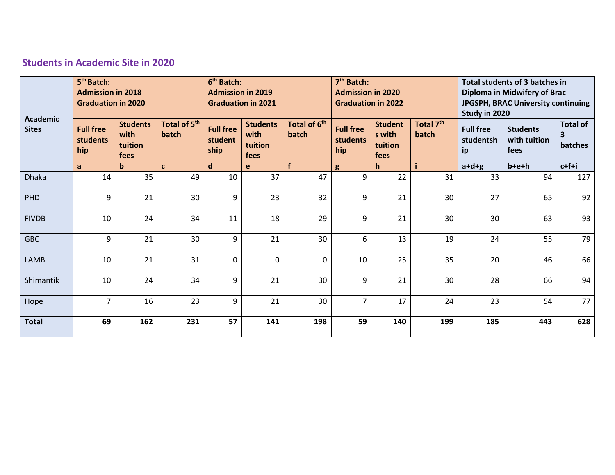# **Students in Academic Site in 2020**

| <b>Academic</b><br><b>Sites</b> | 5 <sup>th</sup> Batch:<br><b>Admission in 2018</b><br><b>Graduation in 2020</b> |                                            |                                   | 6 <sup>th</sup> Batch:<br><b>Admission in 2019</b><br><b>Graduation in 2021</b> |                                            |                                   | 7 <sup>th</sup> Batch:<br><b>Admission in 2020</b><br><b>Graduation in 2022</b> |                                             |                                | Total students of 3 batches in<br>Diploma in Midwifery of Brac<br>JPGSPH, BRAC University continuing<br>Study in 2020 |                                         |                                 |
|---------------------------------|---------------------------------------------------------------------------------|--------------------------------------------|-----------------------------------|---------------------------------------------------------------------------------|--------------------------------------------|-----------------------------------|---------------------------------------------------------------------------------|---------------------------------------------|--------------------------------|-----------------------------------------------------------------------------------------------------------------------|-----------------------------------------|---------------------------------|
|                                 | <b>Full free</b><br>students<br>hip                                             | <b>Students</b><br>with<br>tuition<br>fees | Total of 5 <sup>th</sup><br>batch | <b>Full free</b><br>student<br>ship                                             | <b>Students</b><br>with<br>tuition<br>fees | Total of 6 <sup>th</sup><br>batch | <b>Full free</b><br>students<br>hip                                             | <b>Student</b><br>s with<br>tuition<br>fees | Total 7 <sup>th</sup><br>batch | <b>Full free</b><br>studentsh<br>ip                                                                                   | <b>Students</b><br>with tuition<br>fees | <b>Total of</b><br>3<br>batches |
|                                 | a                                                                               | $\mathbf b$                                | $\mathbf{c}$                      | $\mathsf{d}$                                                                    | e                                          | £                                 | g                                                                               | $\mathsf{h}$                                |                                | $a+d+g$                                                                                                               | b+e+h                                   | $c + f + i$                     |
| <b>Dhaka</b>                    | 14                                                                              | 35                                         | 49                                | 10                                                                              | 37                                         | 47                                | 9                                                                               | 22                                          | 31                             | 33                                                                                                                    | 94                                      | 127                             |
| <b>PHD</b>                      | 9                                                                               | 21                                         | 30                                | 9                                                                               | 23                                         | 32                                | 9                                                                               | 21                                          | 30                             | 27                                                                                                                    | 65                                      | 92                              |
| <b>FIVDB</b>                    | 10                                                                              | 24                                         | 34                                | 11                                                                              | 18                                         | 29                                | 9                                                                               | 21                                          | 30                             | 30                                                                                                                    | 63                                      | 93                              |
| <b>GBC</b>                      | 9                                                                               | 21                                         | 30                                | 9                                                                               | 21                                         | 30                                | 6                                                                               | 13                                          | 19                             | 24                                                                                                                    | 55                                      | 79                              |
| <b>LAMB</b>                     | 10                                                                              | 21                                         | 31                                | 0                                                                               | 0                                          | $\mathbf{0}$                      | 10                                                                              | 25                                          | 35                             | 20                                                                                                                    | 46                                      | 66                              |
| Shimantik                       | 10                                                                              | 24                                         | 34                                | 9                                                                               | 21                                         | 30                                | 9                                                                               | 21                                          | 30                             | 28                                                                                                                    | 66                                      | 94                              |
| Hope                            | $\overline{7}$                                                                  | 16                                         | 23                                | 9                                                                               | 21                                         | 30                                | $\overline{7}$                                                                  | 17                                          | 24                             | 23                                                                                                                    | 54                                      | 77                              |
| <b>Total</b>                    | 69                                                                              | 162                                        | 231                               | 57                                                                              | 141                                        | 198                               | 59                                                                              | 140                                         | 199                            | 185                                                                                                                   | 443                                     | 628                             |